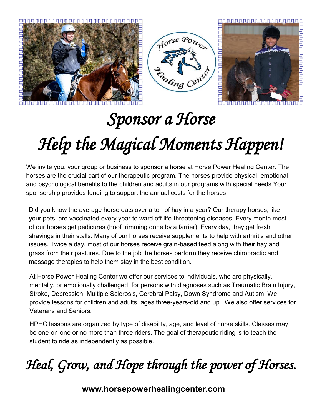





## *Sponsor a Horse*

## *Help the Magical Moments Happen!*

We invite you, your group or business to sponsor a horse at Horse Power Healing Center. The horses are the crucial part of our therapeutic program. The horses provide physical, emotional and psychological benefits to the children and adults in our programs with special needs Your sponsorship provides funding to support the annual costs for the horses.

Did you know the average horse eats over a ton of hay in a year? Our therapy horses, like your pets, are vaccinated every year to ward off life-threatening diseases. Every month most of our horses get pedicures (hoof trimming done by a farrier). Every day, they get fresh shavings in their stalls. Many of our horses receive supplements to help with arthritis and other issues. Twice a day, most of our horses receive grain-based feed along with their hay and grass from their pastures. Due to the job the horses perform they receive chiropractic and massage therapies to help them stay in the best condition.

At Horse Power Healing Center we offer our services to individuals, who are physically, mentally, or emotionally challenged, for persons with diagnoses such as Traumatic Brain Injury, Stroke, Depression, Multiple Sclerosis, Cerebral Palsy, Down Syndrome and Autism. We provide lessons for children and adults, ages three-years-old and up. We also offer services for Veterans and Seniors.

HPHC lessons are organized by type of disability, age, and level of horse skills. Classes may be one-on-one or no more than three riders. The goal of therapeutic riding is to teach the student to ride as independently as possible.

## *Heal, Grow, and Hope through the power of Horses.*

**www.horsepowerhealingcenter.com**